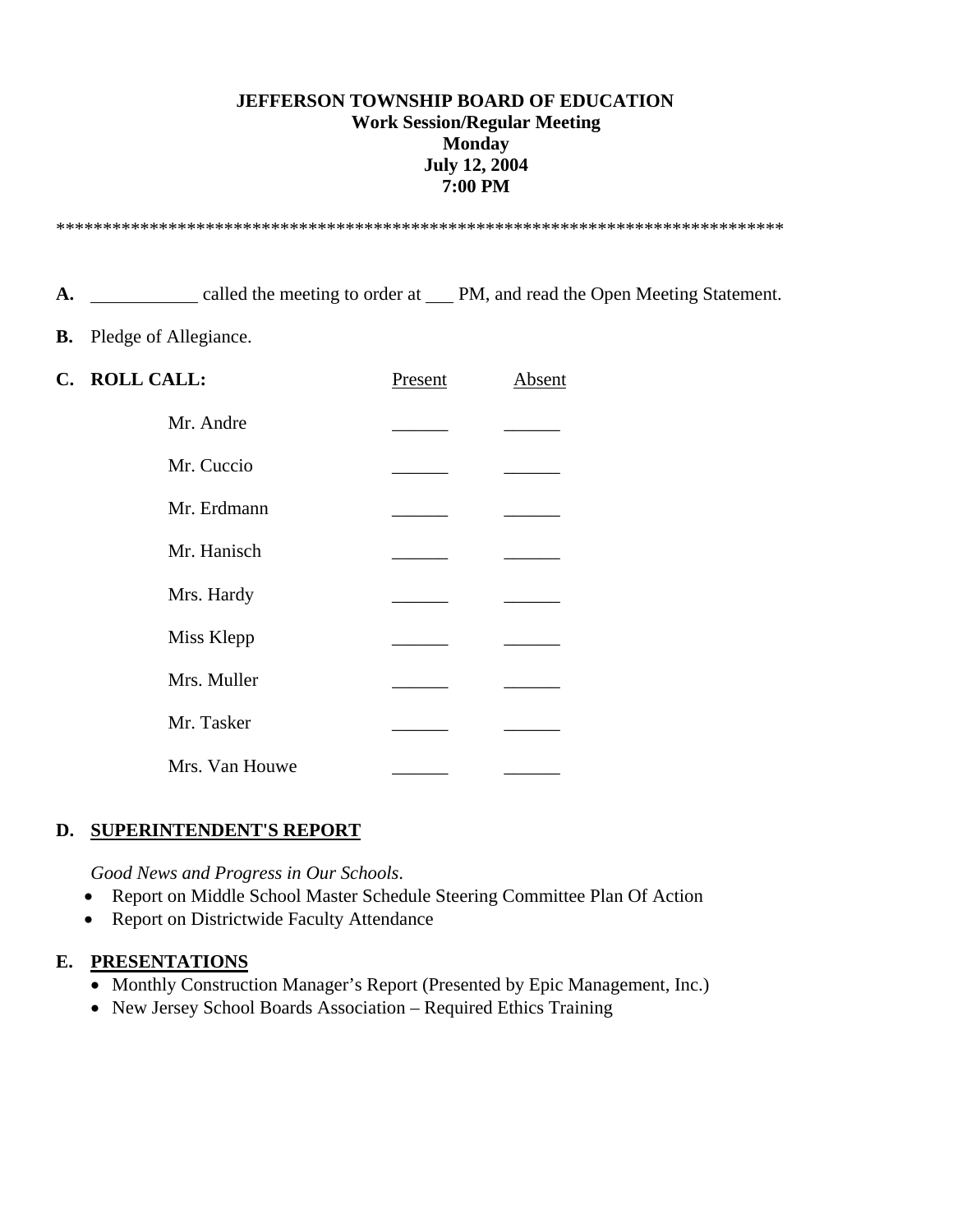### **JEFFERSON TOWNSHIP BOARD OF EDUCATION Work Session/Regular Meeting Monday July 12, 2004 7:00 PM**

\*\*\*\*\*\*\*\*\*\*\*\*\*\*\*\*\*\*\*\*\*\*\*\*\*\*\*\*\*\*\*\*\*\*\*\*\*\*\*\*\*\*\*\*\*\*\*\*\*\*\*\*\*\*\*\*\*\*\*\*\*\*\*\*\*\*\*\*\*\*\*\*\*\*\*\*\*\*

A. <u>called</u> the meeting to order at PM, and read the Open Meeting Statement.

**B.** Pledge of Allegiance.

| C. ROLL CALL:  | Present | Absent |
|----------------|---------|--------|
| Mr. Andre      |         |        |
| Mr. Cuccio     |         |        |
| Mr. Erdmann    |         |        |
| Mr. Hanisch    |         |        |
| Mrs. Hardy     |         |        |
| Miss Klepp     |         |        |
| Mrs. Muller    |         |        |
| Mr. Tasker     |         |        |
| Mrs. Van Houwe |         |        |

#### **D. SUPERINTENDENT'S REPORT**

*Good News and Progress in Our Schools*.

- Report on Middle School Master Schedule Steering Committee Plan Of Action
- Report on Districtwide Faculty Attendance

#### **E. PRESENTATIONS**

- Monthly Construction Manager's Report (Presented by Epic Management, Inc.)
- New Jersey School Boards Association Required Ethics Training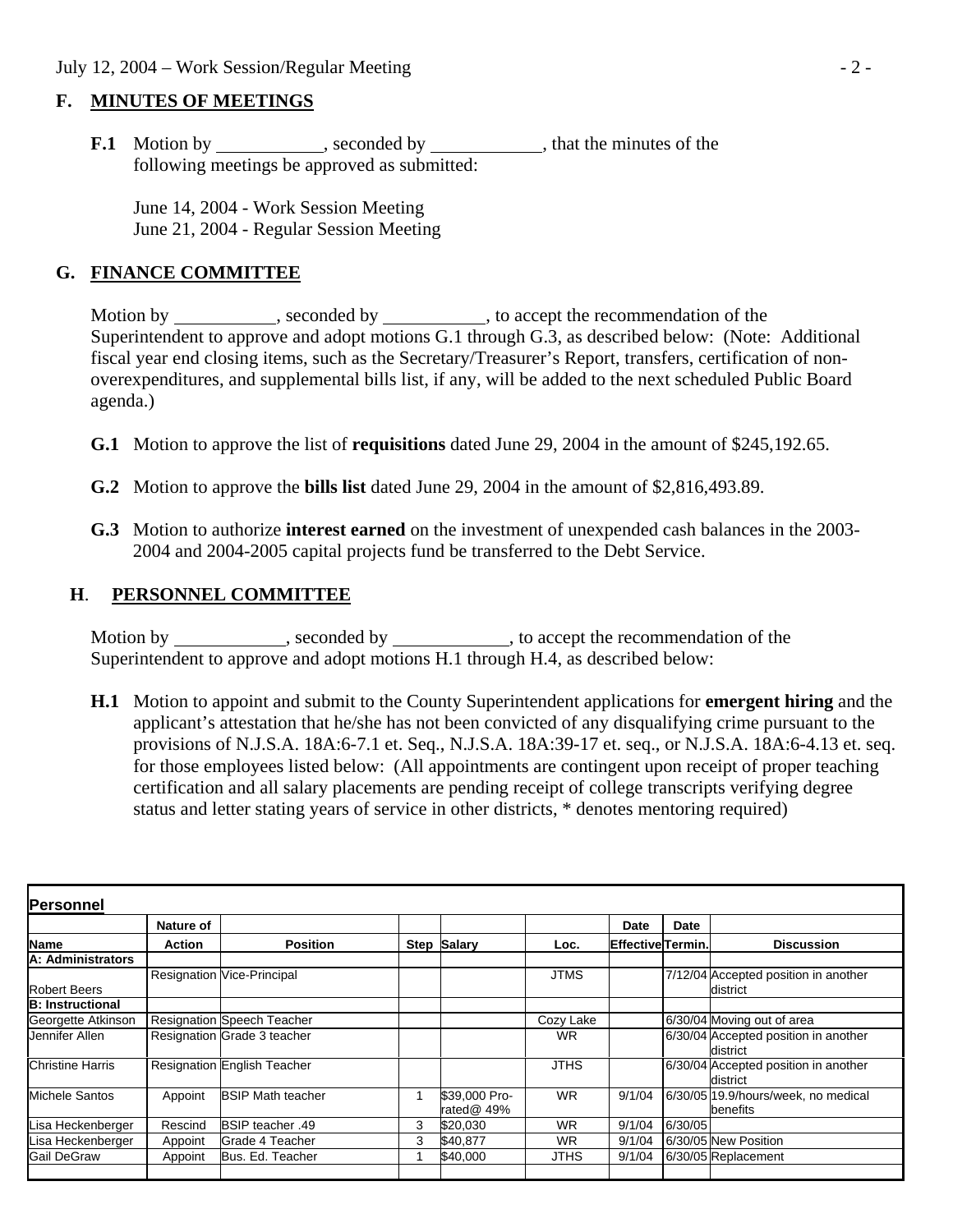## **F. MINUTES OF MEETINGS**

**F.1** Motion by , seconded by , that the minutes of the following meetings be approved as submitted:

 June 14, 2004 - Work Session Meeting June 21, 2004 - Regular Session Meeting

## **G. FINANCE COMMITTEE**

Motion by \_\_\_\_\_\_\_\_\_\_, seconded by \_\_\_\_\_\_\_\_\_\_, to accept the recommendation of the Superintendent to approve and adopt motions G.1 through G.3, as described below: (Note: Additional fiscal year end closing items, such as the Secretary/Treasurer's Report, transfers, certification of nonoverexpenditures, and supplemental bills list, if any, will be added to the next scheduled Public Board agenda.)

- **G.1** Motion to approve the list of **requisitions** dated June 29, 2004 in the amount of \$245,192.65.
- **G.2** Motion to approve the **bills list** dated June 29, 2004 in the amount of \$2,816,493.89.
- **G.3** Motion to authorize **interest earned** on the investment of unexpended cash balances in the 2003- 2004 and 2004-2005 capital projects fund be transferred to the Debt Service.

## **H**. **PERSONNEL COMMITTEE**

Motion by seconded by seconded by seconded by seconded by seconded by seconded by seconded by seconded by seconded by seconded by seconded by seconded by seconded by seconded by seconded by seconded by seconded by seconded Superintendent to approve and adopt motions H.1 through H.4, as described below:

 **H.1** Motion to appoint and submit to the County Superintendent applications for **emergent hiring** and the applicant's attestation that he/she has not been convicted of any disqualifying crime pursuant to the provisions of N.J.S.A. 18A:6-7.1 et. Seq., N.J.S.A. 18A:39-17 et. seq., or N.J.S.A. 18A:6-4.13 et. seq. for those employees listed below: (All appointments are contingent upon receipt of proper teaching certification and all salary placements are pending receipt of college transcripts verifying degree status and letter stating years of service in other districts, \* denotes mentoring required)

| Personnel               |           |                                    |      |                             |             |                    |         |                                                  |
|-------------------------|-----------|------------------------------------|------|-----------------------------|-------------|--------------------|---------|--------------------------------------------------|
|                         | Nature of |                                    |      |                             |             | Date               | Date    |                                                  |
| <b>Name</b>             | Action    | <b>Position</b>                    | Step | <b>Salary</b>               | Loc.        | lEffectivelTermin. |         | <b>Discussion</b>                                |
| A: Administrators       |           |                                    |      |                             |             |                    |         |                                                  |
| <b>Robert Beers</b>     |           | <b>Resignation Vice-Principal</b>  |      |                             | <b>JTMS</b> |                    |         | 7/12/04 Accepted position in another<br>district |
| <b>B: Instructional</b> |           |                                    |      |                             |             |                    |         |                                                  |
| Georgette Atkinson      |           | <b>Resignation Speech Teacher</b>  |      |                             | Cozy Lake   |                    |         | 6/30/04 Moving out of area                       |
| Jennifer Allen          |           | Resignation Grade 3 teacher        |      |                             | <b>WR</b>   |                    |         | 6/30/04 Accepted position in another<br>district |
| <b>Christine Harris</b> |           | <b>Resignation English Teacher</b> |      |                             | <b>JTHS</b> |                    |         | 6/30/04 Accepted position in another<br>district |
| Michele Santos          | Appoint   | <b>BSIP Math teacher</b>           |      | \$39,000 Pro-<br>rated@ 49% | WR          | 9/1/04             |         | 6/30/05 19.9/hours/week, no medical<br>benefits  |
| Lisa Heckenberger       | Rescind   | <b>BSIP teacher .49</b>            | 3    | \$20,030                    | <b>WR</b>   | 9/1/04             | 6/30/05 |                                                  |
| Lisa Heckenberger       | Appoint   | Grade 4 Teacher                    | 3    | \$40,877                    | WR          | 9/1/04             |         | 6/30/05 New Position                             |
| Gail DeGraw             | Appoint   | Bus, Ed. Teacher                   |      | \$40,000                    | JTHS        | 9/1/04             |         | 6/30/05 Replacement                              |
|                         |           |                                    |      |                             |             |                    |         |                                                  |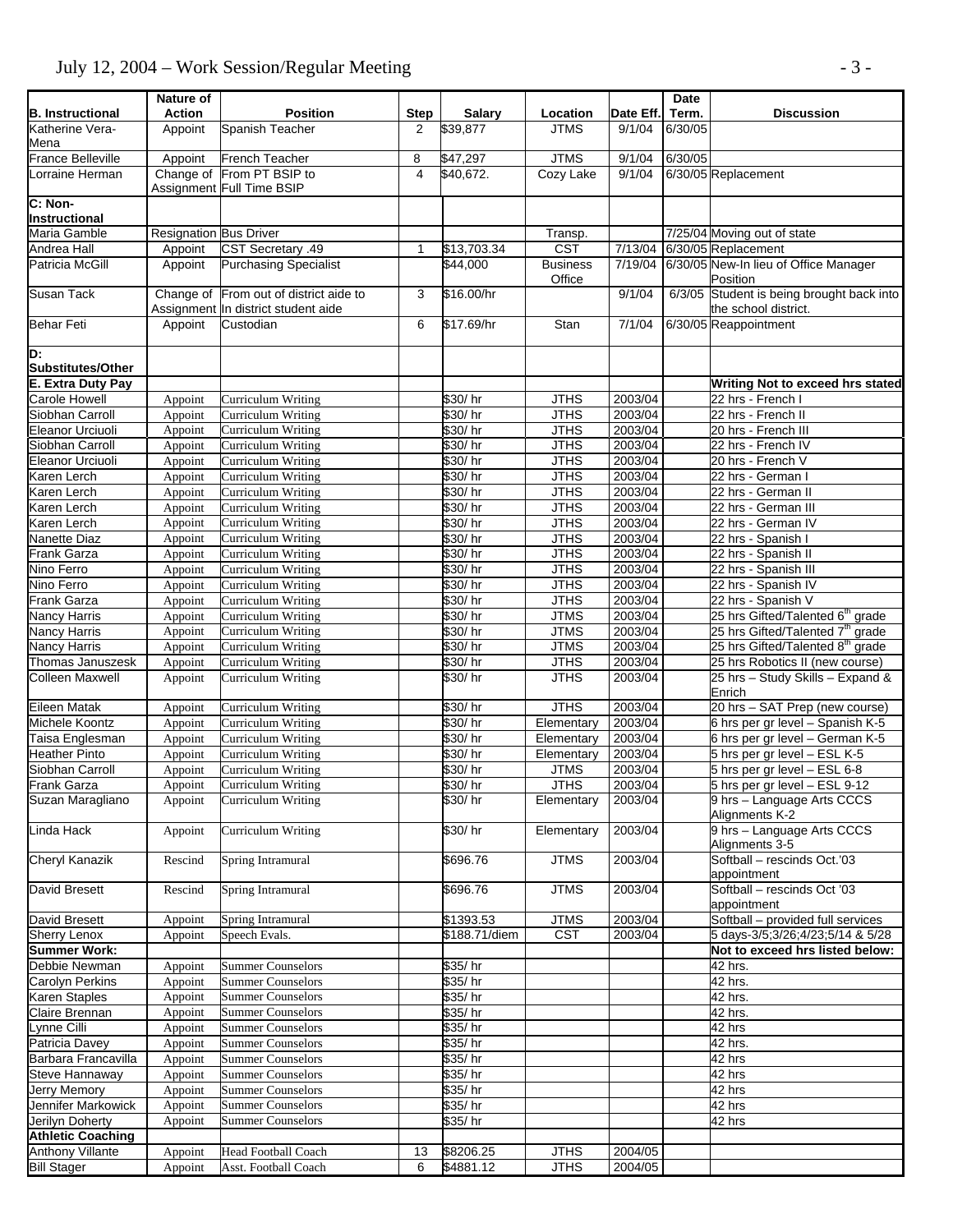## July 12, 2004 – Work Session/Regular Meeting - 3 -

| <b>B.</b> Instructional                    | Nature of<br><b>Action</b>    | <b>Position</b>                                                               | <b>Step</b> | <b>Salary</b>              | Location                               | Date Eff.          | Date<br>Term. | <b>Discussion</b>                                                     |
|--------------------------------------------|-------------------------------|-------------------------------------------------------------------------------|-------------|----------------------------|----------------------------------------|--------------------|---------------|-----------------------------------------------------------------------|
| Katherine Vera-                            | Appoint                       | Spanish Teacher                                                               | 2           | \$39,877                   | <b>JTMS</b>                            | 9/1/04             | 6/30/05       |                                                                       |
| Mena                                       |                               |                                                                               |             |                            |                                        |                    |               |                                                                       |
| <b>France Belleville</b>                   | Appoint                       | French Teacher                                                                | 8           | \$47,297                   | <b>JTMS</b>                            | 9/1/04             | 6/30/05       |                                                                       |
| orraine Herman                             |                               | Change of From PT BSIP to                                                     | 4           | \$40,672.                  | Cozy Lake                              | 9/1/04             |               | 6/30/05 Replacement                                                   |
|                                            |                               | Assignment Full Time BSIP                                                     |             |                            |                                        |                    |               |                                                                       |
| C: Non-<br>Instructional                   |                               |                                                                               |             |                            |                                        |                    |               |                                                                       |
| Maria Gamble                               | <b>Resignation Bus Driver</b> |                                                                               |             |                            | Transp.                                |                    |               | 7/25/04 Moving out of state                                           |
| Andrea Hall                                | Appoint                       | CST Secretary .49                                                             | 1           | \$13,703.34                | $\overline{\text{CST}}$                |                    |               | 7/13/04 6/30/05 Replacement                                           |
| Patricia McGill                            | Appoint                       | <b>Purchasing Specialist</b>                                                  |             | \$44,000                   | <b>Business</b>                        | 7/19/04            |               | 6/30/05 New-In lieu of Office Manager                                 |
|                                            |                               |                                                                               |             |                            | Office                                 |                    |               | Position                                                              |
| <b>Susan Tack</b>                          |                               | Change of From out of district aide to<br>Assignment In district student aide | 3           | \$16.00/hr                 |                                        | 9/1/04             |               | 6/3/05 Student is being brought back into<br>the school district.     |
| <b>Behar Feti</b>                          | Appoint                       | Custodian                                                                     | 6           | \$17.69/hr                 | Stan                                   | 7/1/04             |               | 6/30/05 Reappointment                                                 |
| D:                                         |                               |                                                                               |             |                            |                                        |                    |               |                                                                       |
| Substitutes/Other                          |                               |                                                                               |             |                            |                                        |                    |               |                                                                       |
| <b>E. Extra Duty Pay</b>                   |                               |                                                                               |             |                            |                                        |                    |               | Writing Not to exceed hrs stated                                      |
| Carole Howell                              | Appoint                       | Curriculum Writing                                                            |             | \$30/hr                    | <b>JTHS</b>                            | 2003/04            |               | 22 hrs - French I                                                     |
| Siobhan Carroll                            | Appoint                       | Curriculum Writing                                                            |             | \$30/hr                    | <b>JTHS</b>                            | 2003/04            |               | 22 hrs - French II                                                    |
| Eleanor Urciuoli                           | Appoint                       | Curriculum Writing                                                            |             | \$30/hr                    | <b>JTHS</b>                            | 2003/04            |               | 20 hrs - French III                                                   |
| Siobhan Carroll<br><b>Eleanor Urciuoli</b> | Appoint                       | <b>Curriculum Writing</b><br>Curriculum Writing                               |             | \$30/hr<br>\$30/hr         | <b>JTHS</b><br><b>JTHS</b>             | 2003/04<br>2003/04 |               | 22 hrs - French IV<br>20 hrs - French V                               |
| Karen Lerch                                | Appoint<br>Appoint            | Curriculum Writing                                                            |             | \$30/hr                    | <b>JTHS</b>                            | 2003/04            |               | 22 hrs - German I                                                     |
| Karen Lerch                                | Appoint                       | Curriculum Writing                                                            |             | \$30/hr                    | <b>JTHS</b>                            | 2003/04            |               | 22 hrs - German II                                                    |
| Karen Lerch                                | Appoint                       | Curriculum Writing                                                            |             | \$30/hr                    | <b>JTHS</b>                            | 2003/04            |               | 22 hrs - German III                                                   |
| Karen Lerch                                | Appoint                       | Curriculum Writing                                                            |             | \$30/hr                    | <b>JTHS</b>                            | 2003/04            |               | 22 hrs - German IV                                                    |
| Nanette Diaz                               | Appoint                       | Curriculum Writing                                                            |             | \$30/hr                    | <b>JTHS</b>                            | 2003/04            |               | 22 hrs - Spanish I                                                    |
| Frank Garza                                | Appoint                       | Curriculum Writing                                                            |             | \$30/hr                    | <b>JTHS</b>                            | 2003/04            |               | 22 hrs - Spanish II                                                   |
| Nino Ferro                                 | Appoint                       | Curriculum Writing                                                            |             | \$30/hr                    | <b>JTHS</b>                            | 2003/04            |               | 22 hrs - Spanish III                                                  |
| Nino Ferro                                 | Appoint                       | Curriculum Writing                                                            |             | \$30/hr                    | <b>JTHS</b>                            | 2003/04            |               | 22 hrs - Spanish IV                                                   |
| Frank Garza                                | Appoint                       | Curriculum Writing                                                            |             | \$30/hr                    | <b>JTHS</b>                            | 2003/04            |               | 22 hrs - Spanish V                                                    |
| Nancy Harris                               | Appoint                       | Curriculum Writing                                                            |             | \$30/hr                    | <b>JTMS</b>                            | 2003/04            |               | 25 hrs Gifted/Talented 6 <sup>th</sup> grade                          |
| Nancy Harris                               | Appoint                       | Curriculum Writing                                                            |             | \$30/hr                    | <b>JTMS</b>                            | 2003/04            |               | 25 hrs Gifted/Talented 7 <sup>th</sup> grade                          |
| Nancy Harris                               | Appoint                       | <b>Curriculum Writing</b>                                                     |             | \$30/hr                    | <b>JTMS</b>                            | 2003/04            |               | 25 hrs Gifted/Talented 8 <sup>th</sup> grade                          |
| Thomas Januszesk                           | Appoint                       | Curriculum Writing                                                            |             | \$30/hr                    | <b>JTHS</b>                            | 2003/04            |               | 25 hrs Robotics II (new course)                                       |
| Colleen Maxwell                            | Appoint                       | Curriculum Writing                                                            |             | \$30/hr                    | <b>JTHS</b>                            | 2003/04            |               | 25 hrs - Study Skills - Expand &<br>Enrich                            |
| Eileen Matak                               | Appoint                       | Curriculum Writing                                                            |             | \$30/hr                    | <b>JTHS</b>                            | 2003/04            |               | 20 hrs - SAT Prep (new course)                                        |
| Michele Koontz                             | Appoint                       | Curriculum Writing                                                            |             | \$30/hr                    | Elementary                             | 2003/04            |               | 6 hrs per gr level - Spanish K-5                                      |
| Taisa Englesman                            | Appoint                       | Curriculum Writing                                                            |             | \$30/hr                    | Elementary                             | 2003/04            |               | 6 hrs per gr level - German K-5                                       |
| <b>Heather Pinto</b><br>Siobhan Carroll    | Appoint                       | Curriculum Writing<br>Curriculum Writing                                      |             | \$30/hr<br>\$30/hr         | Elementary                             | 2003/04<br>2003/04 |               | 5 hrs per gr level - ESL K-5                                          |
| <b>Frank Garza</b>                         | Appoint                       | Curriculum Writing                                                            |             | \$30/hr                    | <b>JTMS</b><br><b>JTHS</b>             | 2003/04            |               | 5 hrs per gr level - ESL 6-8<br>5 hrs per gr level - ESL 9-12         |
| Suzan Maragliano                           | Appoint<br>Appoint            | Curriculum Writing                                                            |             | \$30/hr                    | Elementary                             | 2003/04            |               | 9 hrs - Language Arts CCCS                                            |
| Linda Hack                                 | Appoint                       | Curriculum Writing                                                            |             | \$30/hr                    | Elementary                             | 2003/04            |               | Alignments K-2<br>9 hrs - Language Arts CCCS                          |
| Cheryl Kanazik                             | Rescind                       | Spring Intramural                                                             |             | \$696.76                   | <b>JTMS</b>                            | 2003/04            |               | Alignments 3-5<br>Softball - rescinds Oct.'03                         |
|                                            |                               |                                                                               |             | \$696.76                   | <b>JTMS</b>                            |                    |               | appointment                                                           |
| David Bresett                              | Rescind                       | Spring Intramural                                                             |             |                            |                                        | 2003/04            |               | Softball - rescinds Oct '03<br>appointment                            |
| David Bresett<br><b>Sherry Lenox</b>       | Appoint<br>Appoint            | Spring Intramural<br>Speech Evals.                                            |             | \$1393.53<br>\$188.71/diem | <b>JTMS</b><br>$\overline{\text{CST}}$ | 2003/04<br>2003/04 |               | Softball - provided full services<br>5 days-3/5;3/26;4/23;5/14 & 5/28 |
| <b>Summer Work:</b>                        |                               |                                                                               |             |                            |                                        |                    |               | Not to exceed hrs listed below:                                       |
| Debbie Newman                              | Appoint                       | <b>Summer Counselors</b>                                                      |             | \$35/hr                    |                                        |                    |               | 42 hrs.                                                               |
| <b>Carolyn Perkins</b>                     | Appoint                       | <b>Summer Counselors</b>                                                      |             | \$35/hr                    |                                        |                    |               | 42 hrs.                                                               |
| <b>Karen Staples</b>                       | Appoint                       | <b>Summer Counselors</b>                                                      |             | \$35/hr                    |                                        |                    |               | 42 hrs.                                                               |
| Claire Brennan                             | Appoint                       | <b>Summer Counselors</b>                                                      |             | \$35/hr                    |                                        |                    |               | 42 hrs.                                                               |
| ynne Cilli                                 | Appoint                       | <b>Summer Counselors</b>                                                      |             | $\sqrt{$35/hr}$            |                                        |                    |               | 42 hrs                                                                |
| Patricia Davey                             | Appoint                       | <b>Summer Counselors</b>                                                      |             | \$35/hr                    |                                        |                    |               | 42 hrs.                                                               |
| Barbara Francavilla                        | Appoint                       | <b>Summer Counselors</b>                                                      |             | \$35/hr                    |                                        |                    |               | 42 hrs                                                                |
| Steve Hannaway                             | Appoint                       | <b>Summer Counselors</b>                                                      |             | \$35/hr                    |                                        |                    |               | 42 hrs                                                                |
| <b>Jerry Memory</b>                        | Appoint                       | <b>Summer Counselors</b>                                                      |             | \$35/hr                    |                                        |                    |               | 42 hrs                                                                |
| Jennifer Markowick                         | Appoint                       | <b>Summer Counselors</b>                                                      |             | \$35/hr                    |                                        |                    |               | 42 hrs                                                                |
| Jerilyn Doherty                            | Appoint                       | <b>Summer Counselors</b>                                                      |             | \$35/hr                    |                                        |                    |               | 42 hrs                                                                |
| <b>Athletic Coaching</b>                   |                               |                                                                               |             |                            |                                        |                    |               |                                                                       |
| <b>Anthony Villante</b>                    | Appoint                       | <b>Head Football Coach</b>                                                    | 13          | \$8206.25                  | <b>JTHS</b>                            | 2004/05            |               |                                                                       |
| <b>Bill Stager</b>                         | Appoint                       | Asst. Football Coach                                                          | 6           | \$4881.12                  | <b>JTHS</b>                            | 2004/05            |               |                                                                       |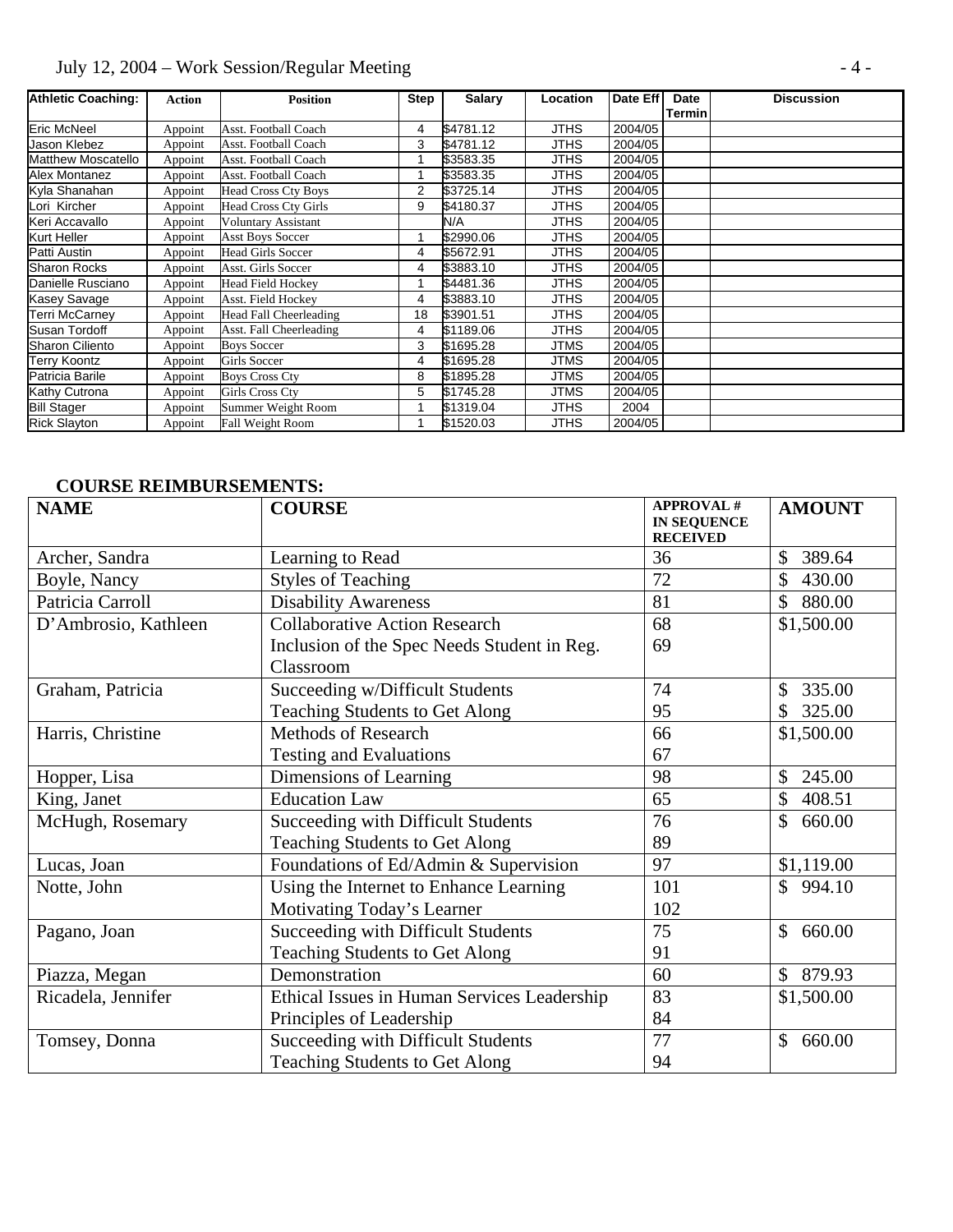# July 12, 2004 – Work Session/Regular Meeting - 4 -

| <b>Athletic Coaching:</b> | <b>Action</b> | <b>Position</b>             | <b>Step</b> | <b>Salary</b> | <b>Location</b> | Date Eff | Date   | <b>Discussion</b> |
|---------------------------|---------------|-----------------------------|-------------|---------------|-----------------|----------|--------|-------------------|
|                           |               |                             |             |               |                 |          | Termin |                   |
| <b>Eric McNeel</b>        | Appoint       | Asst. Football Coach        | 4           | \$4781.12     | JTHS            | 2004/05  |        |                   |
| Jason Klebez              | Appoint       | Asst. Football Coach        | 3           | \$4781.12     | <b>JTHS</b>     | 2004/05  |        |                   |
| Matthew Moscatello        | Appoint       | Asst. Football Coach        |             | \$3583.35     | <b>JTHS</b>     | 2004/05  |        |                   |
| Alex Montanez             | Appoint       | Asst. Football Coach        |             | \$3583.35     | JTHS            | 2004/05  |        |                   |
| Kyla Shanahan             | Appoint       | <b>Head Cross Cty Boys</b>  | 2           | \$3725.14     | <b>JTHS</b>     | 2004/05  |        |                   |
| Lori Kircher              | Appoint       | <b>Head Cross Cty Girls</b> | 9           | \$4180.37     | JTHS            | 2004/05  |        |                   |
| Keri Accavallo            | Appoint       | Voluntary Assistant         |             | N/A           | JTHS            | 2004/05  |        |                   |
| Kurt Heller               | Appoint       | <b>Asst Boys Soccer</b>     |             | \$2990.06     | <b>JTHS</b>     | 2004/05  |        |                   |
| Patti Austin              | Appoint       | <b>Head Girls Soccer</b>    | 4           | \$5672.91     | JTHS            | 2004/05  |        |                   |
| <b>Sharon Rocks</b>       | Appoint       | Asst. Girls Soccer          | 4           | \$3883.10     | JTHS            | 2004/05  |        |                   |
| Danielle Rusciano         | Appoint       | <b>Head Field Hockey</b>    |             | \$4481.36     | JTHS            | 2004/05  |        |                   |
| Kasey Savage              | Appoint       | Asst. Field Hockey          | 4           | \$3883.10     | JTHS            | 2004/05  |        |                   |
| <b>Terri McCarney</b>     | Appoint       | Head Fall Cheerleading      | 18          | \$3901.51     | <b>JTHS</b>     | 2004/05  |        |                   |
| Susan Tordoff             | Appoint       | Asst. Fall Cheerleading     | 4           | \$1189.06     | JTHS            | 2004/05  |        |                   |
| <b>Sharon Ciliento</b>    | Appoint       | <b>Boys Soccer</b>          | 3           | \$1695.28     | JTMS            | 2004/05  |        |                   |
| Terry Koontz              | Appoint       | Girls Soccer                | 4           | \$1695.28     | <b>JTMS</b>     | 2004/05  |        |                   |
| Patricia Barile           | Appoint       | <b>Boys Cross Cty</b>       | 8           | \$1895.28     | JTMS            | 2004/05  |        |                   |
| Kathy Cutrona             | Appoint       | Girls Cross Cty             | 5           | \$1745.28     | JTMS            | 2004/05  |        |                   |
| <b>Bill Stager</b>        | Appoint       | Summer Weight Room          |             | \$1319.04     | JTHS            | 2004     |        |                   |
| <b>Rick Slayton</b>       | Appoint       | Fall Weight Room            |             | \$1520.03     | <b>JTHS</b>     | 2004/05  |        |                   |

## **COURSE REIMBURSEMENTS:**

| <b>NAME</b>          | <b>COURSE</b>                               | <b>APPROVAL#</b><br><b>IN SEQUENCE</b> | <b>AMOUNT</b>          |
|----------------------|---------------------------------------------|----------------------------------------|------------------------|
| Archer, Sandra       | Learning to Read                            | <b>RECEIVED</b><br>36                  | 389.64                 |
|                      |                                             | 72                                     | \$<br>430.00           |
| Boyle, Nancy         | <b>Styles of Teaching</b>                   |                                        |                        |
| Patricia Carroll     | <b>Disability Awareness</b>                 | 81                                     | \$80.00                |
| D'Ambrosio, Kathleen | <b>Collaborative Action Research</b>        | 68                                     | \$1,500.00             |
|                      | Inclusion of the Spec Needs Student in Reg. | 69                                     |                        |
|                      | Classroom                                   |                                        |                        |
| Graham, Patricia     | Succeeding w/Difficult Students             | 74                                     | 335.00<br>\$           |
|                      | <b>Teaching Students to Get Along</b>       | 95                                     | 325.00<br>\$           |
| Harris, Christine    | <b>Methods of Research</b>                  | 66                                     | \$1,500.00             |
|                      | <b>Testing and Evaluations</b>              | 67                                     |                        |
| Hopper, Lisa         | Dimensions of Learning                      | 98                                     | \$<br>245.00           |
| King, Janet          | <b>Education Law</b>                        | 65                                     | \$<br>408.51           |
| McHugh, Rosemary     | Succeeding with Difficult Students          | 76                                     | \$<br>660.00           |
|                      | <b>Teaching Students to Get Along</b>       | 89                                     |                        |
| Lucas, Joan          | Foundations of Ed/Admin & Supervision       | 97                                     | \$1,119.00             |
| Notte, John          | Using the Internet to Enhance Learning      | 101                                    | 994.10<br>\$           |
|                      | Motivating Today's Learner                  | 102                                    |                        |
| Pagano, Joan         | Succeeding with Difficult Students          | 75                                     | \$<br>660.00           |
|                      | <b>Teaching Students to Get Along</b>       | 91                                     |                        |
| Piazza, Megan        | Demonstration                               | 60                                     | $\mathbb{S}$<br>879.93 |
| Ricadela, Jennifer   | Ethical Issues in Human Services Leadership | 83                                     | \$1,500.00             |
|                      | Principles of Leadership                    | 84                                     |                        |
| Tomsey, Donna        | Succeeding with Difficult Students          | 77                                     | \$<br>660.00           |
|                      | <b>Teaching Students to Get Along</b>       | 94                                     |                        |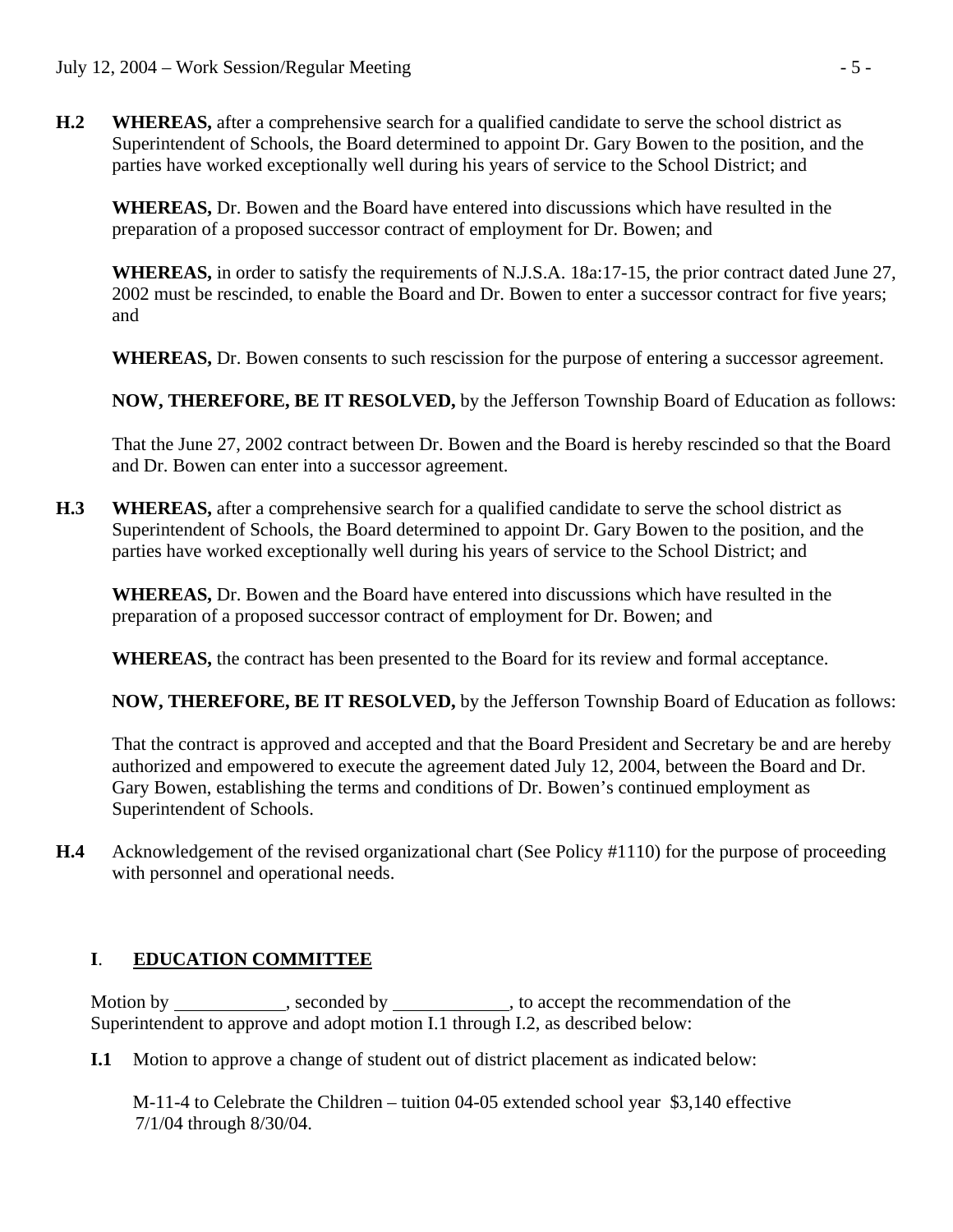**H.2 WHEREAS,** after a comprehensive search for a qualified candidate to serve the school district as Superintendent of Schools, the Board determined to appoint Dr. Gary Bowen to the position, and the parties have worked exceptionally well during his years of service to the School District; and

**WHEREAS,** Dr. Bowen and the Board have entered into discussions which have resulted in the preparation of a proposed successor contract of employment for Dr. Bowen; and

**WHEREAS,** in order to satisfy the requirements of N.J.S.A. 18a:17-15, the prior contract dated June 27, 2002 must be rescinded, to enable the Board and Dr. Bowen to enter a successor contract for five years; and

 **WHEREAS,** Dr. Bowen consents to such rescission for the purpose of entering a successor agreement.

 **NOW, THEREFORE, BE IT RESOLVED,** by the Jefferson Township Board of Education as follows:

That the June 27, 2002 contract between Dr. Bowen and the Board is hereby rescinded so that the Board and Dr. Bowen can enter into a successor agreement.

**H.3 WHEREAS,** after a comprehensive search for a qualified candidate to serve the school district as Superintendent of Schools, the Board determined to appoint Dr. Gary Bowen to the position, and the parties have worked exceptionally well during his years of service to the School District; and

**WHEREAS,** Dr. Bowen and the Board have entered into discussions which have resulted in the preparation of a proposed successor contract of employment for Dr. Bowen; and

**WHEREAS,** the contract has been presented to the Board for its review and formal acceptance.

 **NOW, THEREFORE, BE IT RESOLVED,** by the Jefferson Township Board of Education as follows:

That the contract is approved and accepted and that the Board President and Secretary be and are hereby authorized and empowered to execute the agreement dated July 12, 2004, between the Board and Dr. Gary Bowen, establishing the terms and conditions of Dr. Bowen's continued employment as Superintendent of Schools.

**H.4** Acknowledgement of the revised organizational chart (See Policy #1110) for the purpose of proceeding with personnel and operational needs.

## **I**. **EDUCATION COMMITTEE**

 Motion by , seconded by , to accept the recommendation of the Superintendent to approve and adopt motion I.1 through I.2, as described below:

**I.1** Motion to approve a change of student out of district placement as indicated below:

 M-11-4 to Celebrate the Children – tuition 04-05 extended school year \$3,140 effective 7/1/04 through 8/30/04.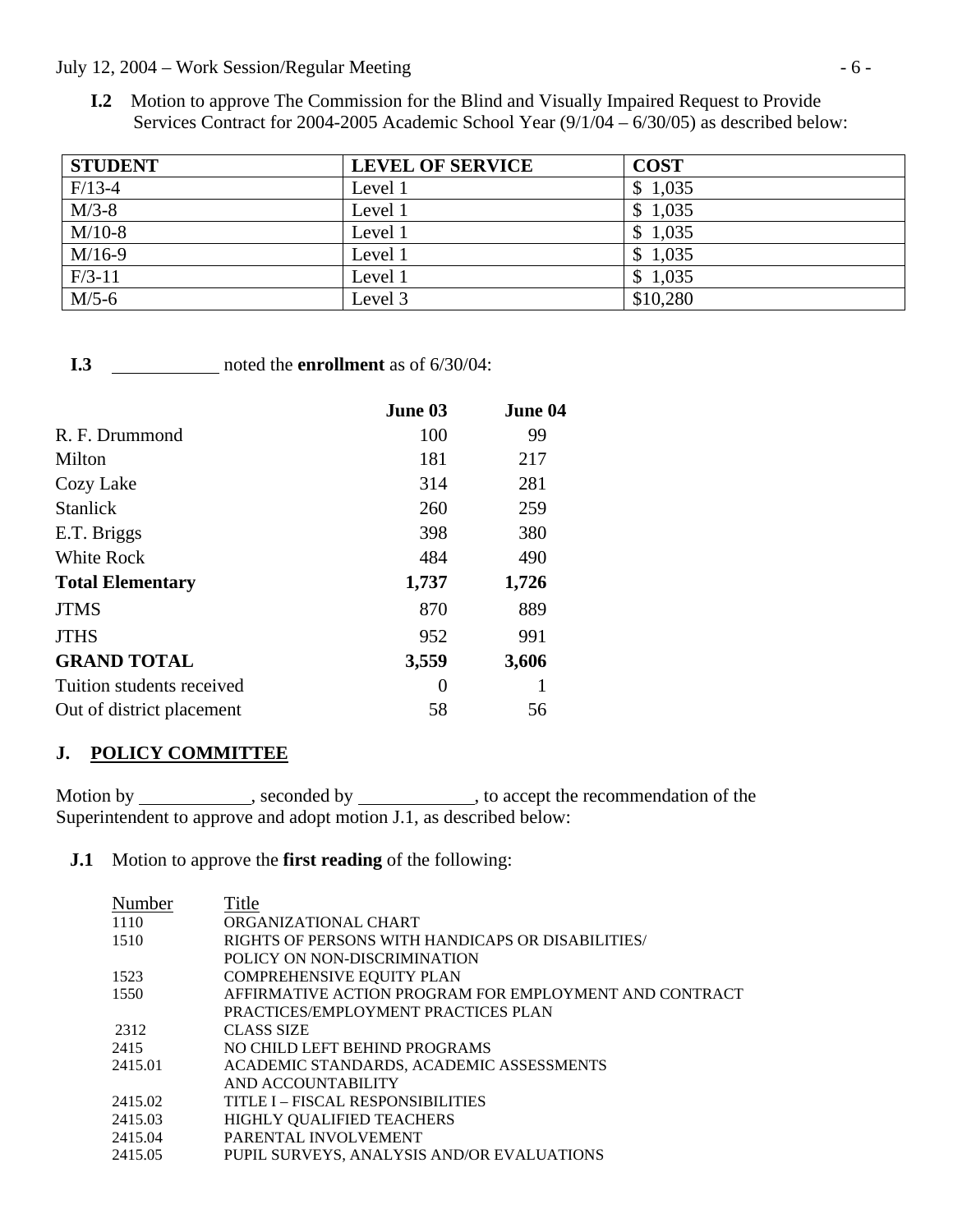#### July 12, 2004 – Work Session/Regular Meeting - 6 -

**I.2** Motion to approve The Commission for the Blind and Visually Impaired Request to Provide Services Contract for 2004-2005 Academic School Year (9/1/04 – 6/30/05) as described below:

| <b>STUDENT</b> | <b>LEVEL OF SERVICE</b> | <b>COST</b> |
|----------------|-------------------------|-------------|
| $F/13-4$       | Level 1                 | \$1,035     |
| $M/3-8$        | Level 1                 | \$1,035     |
| $M/10-8$       | Level 1                 | \$1,035     |
| $M/16-9$       | Level 1                 | \$1,035     |
| $F/3-11$       | Level 1                 | \$1,035     |
| $M/5-6$        | Level 3                 | \$10,280    |

**I.3** \_\_\_\_\_\_\_\_\_\_\_\_\_ noted the **enrollment** as of 6/30/04:

|                           | June 03 | June 04 |
|---------------------------|---------|---------|
| R. F. Drummond            | 100     | 99      |
| Milton                    | 181     | 217     |
| Cozy Lake                 | 314     | 281     |
| <b>Stanlick</b>           | 260     | 259     |
| E.T. Briggs               | 398     | 380     |
| <b>White Rock</b>         | 484     | 490     |
| <b>Total Elementary</b>   | 1,737   | 1,726   |
| <b>JTMS</b>               | 870     | 889     |
| <b>JTHS</b>               | 952     | 991     |
| <b>GRAND TOTAL</b>        | 3,559   | 3,606   |
| Tuition students received | 0       |         |
| Out of district placement | 58      | 56      |

## **J. POLICY COMMITTEE**

Motion by \_\_\_\_\_\_\_\_\_\_\_, seconded by \_\_\_\_\_\_\_\_\_\_, to accept the recommendation of the Superintendent to approve and adopt motion J.1, as described below:

#### **J.1** Motion to approve the **first reading** of the following:

| Number  | Title                                                  |
|---------|--------------------------------------------------------|
| 1110    | ORGANIZATIONAL CHART                                   |
| 1510    | RIGHTS OF PERSONS WITH HANDICAPS OR DISABILITIES/      |
|         | POLICY ON NON-DISCRIMINATION                           |
| 1523    | <b>COMPREHENSIVE EQUITY PLAN</b>                       |
| 1550    | AFFIRMATIVE ACTION PROGRAM FOR EMPLOYMENT AND CONTRACT |
|         | PRACTICES/EMPLOYMENT PRACTICES PLAN                    |
| 2312    | <b>CLASS SIZE</b>                                      |
| 2415    | NO CHILD LEFT BEHIND PROGRAMS                          |
| 2415.01 | ACADEMIC STANDARDS, ACADEMIC ASSESSMENTS               |
|         | AND ACCOUNTABILITY                                     |
| 2415.02 | TITLE I – FISCAL RESPONSIBILITIES                      |
| 2415.03 | HIGHLY QUALIFIED TEACHERS                              |
| 2415.04 | PARENTAL INVOLVEMENT                                   |
| 2415.05 | PUPIL SURVEYS, ANALYSIS AND/OR EVALUATIONS             |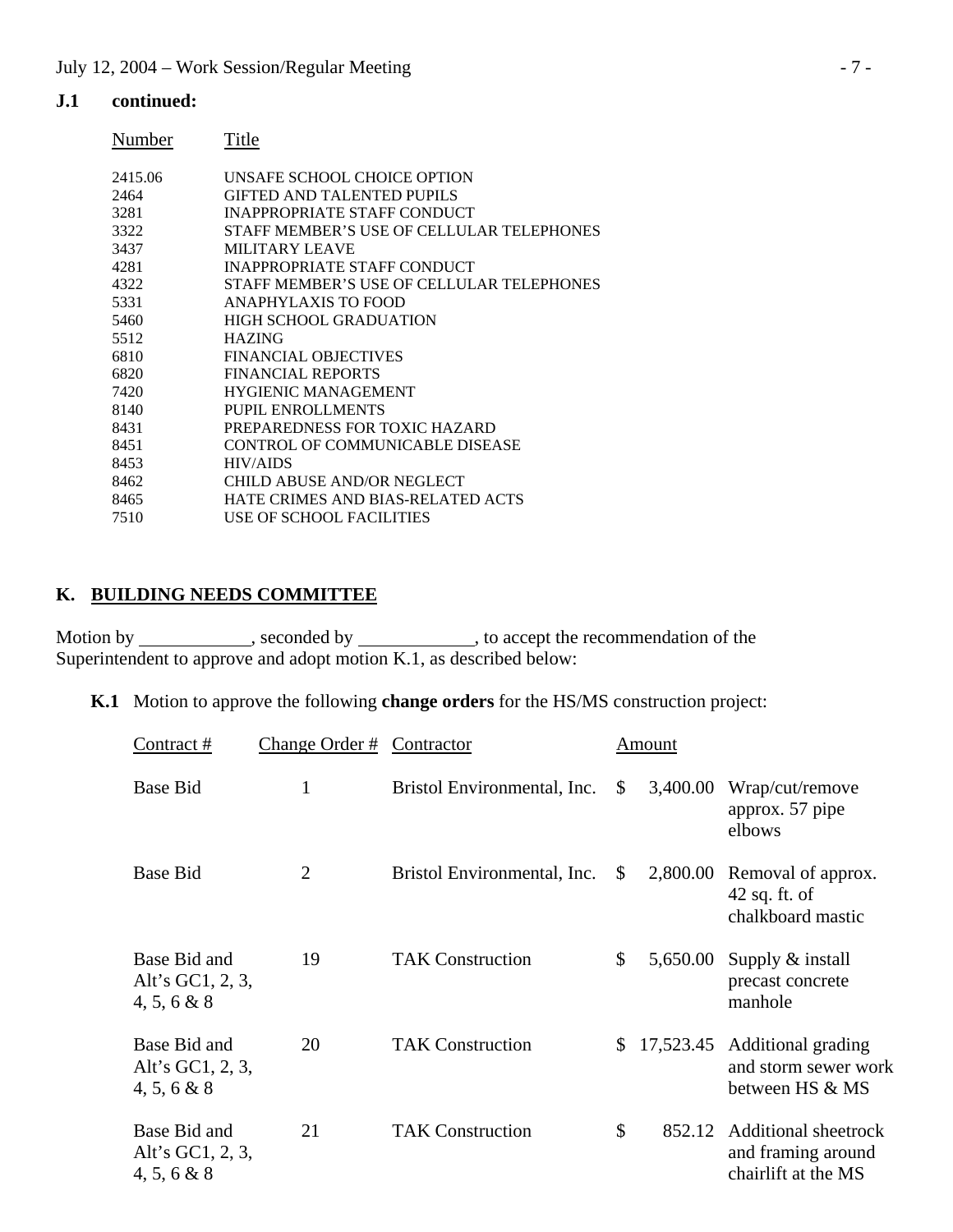#### **J.1 continued:**

| Number  | Title                                     |
|---------|-------------------------------------------|
| 2415.06 | UNSAFE SCHOOL CHOICE OPTION               |
| 2464    | GIFTED AND TALENTED PUPILS                |
| 3281    | <b>INAPPROPRIATE STAFF CONDUCT</b>        |
| 3322    | STAFF MEMBER'S USE OF CELLULAR TELEPHONES |
| 3437    | MILITARY LEAVE                            |
| 4281    | <b>INAPPROPRIATE STAFF CONDUCT</b>        |
| 4322    | STAFF MEMBER'S USE OF CELLULAR TELEPHONES |
| 5331    | ANAPHYLAXIS TO FOOD                       |
| 5460    | HIGH SCHOOL GRADUATION                    |
| 5512    | <b>HAZING</b>                             |
| 6810    | <b>FINANCIAL OBJECTIVES</b>               |
| 6820    | <b>FINANCIAL REPORTS</b>                  |
| 7420    | <b>HYGIENIC MANAGEMENT</b>                |
| 8140    | PUPIL ENROLLMENTS                         |
| 8431    | PREPAREDNESS FOR TOXIC HAZARD             |
| 8451    | CONTROL OF COMMUNICABLE DISEASE           |
| 8453    | <b>HIV/AIDS</b>                           |
| 8462    | CHILD ABUSE AND/OR NEGLECT                |
| 8465    | HATE CRIMES AND BIAS-RELATED ACTS         |
| 7510    | USE OF SCHOOL FACILITIES                  |

## **K. BUILDING NEEDS COMMITTEE**

Motion by \_\_\_\_\_\_\_\_\_\_\_, seconded by \_\_\_\_\_\_\_\_\_\_\_, to accept the recommendation of the Superintendent to approve and adopt motion K.1, as described below:

|  | <b>K.1</b> Motion to approve the following <b>change orders</b> for the HS/MS construction project: |  |  |  |
|--|-----------------------------------------------------------------------------------------------------|--|--|--|
|--|-----------------------------------------------------------------------------------------------------|--|--|--|

| Contract #                                         | Change Order # | Contractor                  |              | Amount   |                                                                         |
|----------------------------------------------------|----------------|-----------------------------|--------------|----------|-------------------------------------------------------------------------|
| <b>Base Bid</b>                                    | 1              | Bristol Environmental, Inc. | \$           | 3,400.00 | Wrap/cut/remove<br>approx. 57 pipe<br>elbows                            |
| <b>Base Bid</b>                                    | $\overline{2}$ | Bristol Environmental, Inc. | \$           | 2,800.00 | Removal of approx.<br>$42$ sq. ft. of<br>chalkboard mastic              |
| Base Bid and<br>Alt's GC1, $2, 3$ ,<br>4, 5, 6 & 8 | 19             | <b>TAK Construction</b>     | \$           | 5,650.00 | Supply $&$ install<br>precast concrete<br>manhole                       |
| Base Bid and<br>Alt's GC1, 2, 3,<br>4, 5, 6 & 8    | 20             | <b>TAK Construction</b>     | $\mathbb{S}$ |          | 17,523.45 Additional grading<br>and storm sewer work<br>between HS & MS |
| Base Bid and<br>Alt's GC1, 2, 3,<br>4, 5, 6 & 8    | 21             | <b>TAK Construction</b>     | \$           | 852.12   | Additional sheetrock<br>and framing around<br>chairlift at the MS       |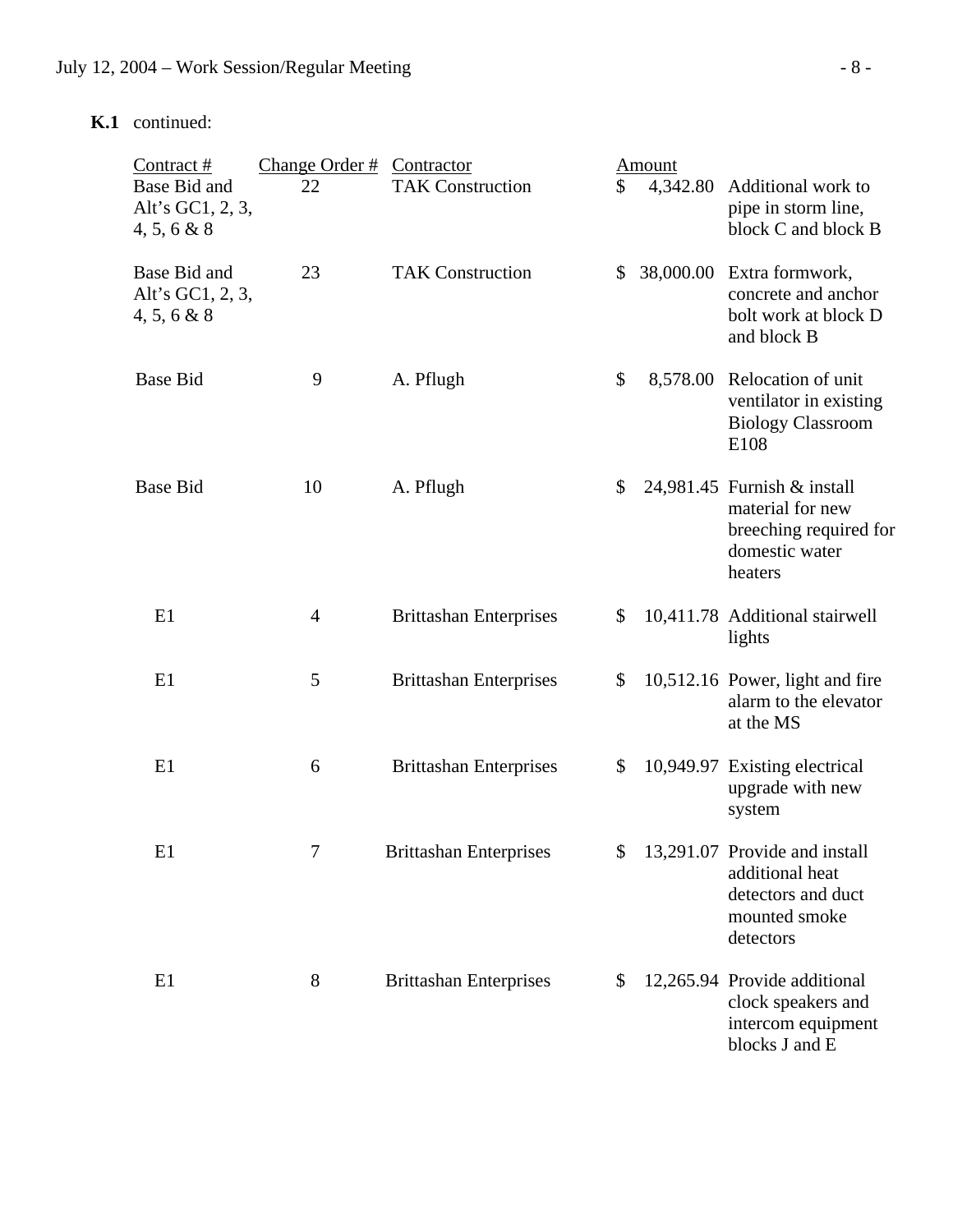# **K.1** continued:

| Contract #                                      | Change Order $#$ | Contractor                    |              | Amount   |                                                                                                         |
|-------------------------------------------------|------------------|-------------------------------|--------------|----------|---------------------------------------------------------------------------------------------------------|
| Base Bid and<br>Alt's GC1, 2, 3,<br>4, 5, 6 & 8 | 22               | <b>TAK Construction</b>       | \$           | 4,342.80 | Additional work to<br>pipe in storm line,<br>block C and block B                                        |
| Base Bid and<br>Alt's GC1, 2, 3,<br>4, 5, 6 & 8 | 23               | <b>TAK Construction</b>       | $\mathbb{S}$ |          | 38,000.00 Extra formwork,<br>concrete and anchor<br>bolt work at block D<br>and block B                 |
| <b>Base Bid</b>                                 | 9                | A. Pflugh                     | \$           |          | 8,578.00 Relocation of unit<br>ventilator in existing<br><b>Biology Classroom</b><br>E108               |
| <b>Base Bid</b>                                 | 10               | A. Pflugh                     | \$           |          | 24,981.45 Furnish & install<br>material for new<br>breeching required for<br>domestic water<br>heaters  |
| E1                                              | $\overline{4}$   | <b>Brittashan Enterprises</b> | \$           |          | 10,411.78 Additional stairwell<br>lights                                                                |
| E1                                              | 5                | <b>Brittashan Enterprises</b> | \$           |          | 10,512.16 Power, light and fire<br>alarm to the elevator<br>at the MS                                   |
| E1                                              | 6                | <b>Brittashan Enterprises</b> | \$           |          | 10,949.97 Existing electrical<br>upgrade with new<br>system                                             |
| E1                                              |                  | <b>Brittashan Enterprises</b> |              |          | \$ 13,291.07 Provide and install<br>additional heat<br>detectors and duct<br>mounted smoke<br>detectors |
| E1                                              | 8                | <b>Brittashan Enterprises</b> | \$           |          | 12,265.94 Provide additional<br>clock speakers and<br>intercom equipment<br>blocks J and E              |